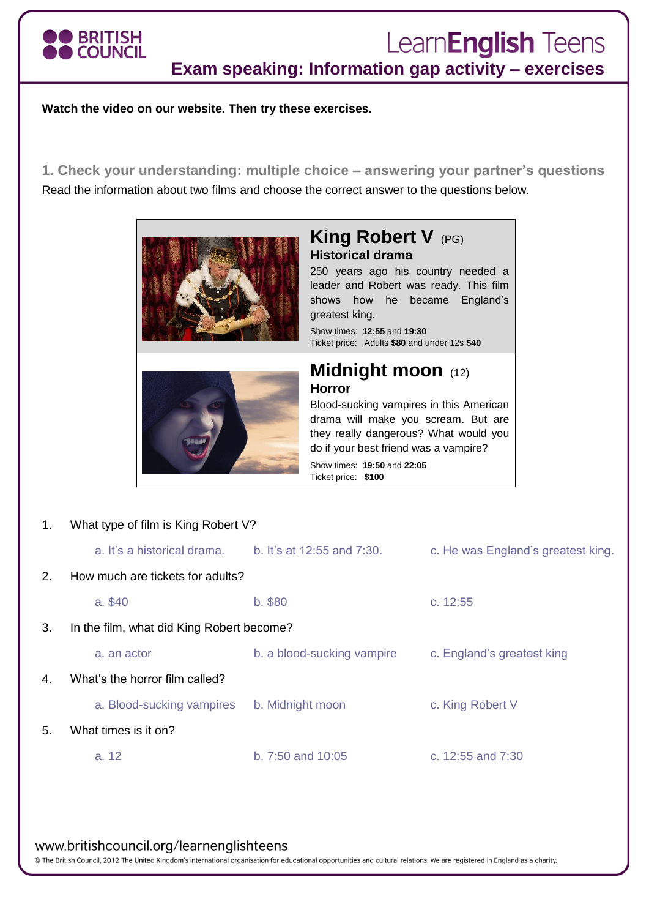

# Learn**English** Teens

**Exam speaking: Information gap activity – exercises**

**Watch the video on our website. Then try these exercises.**

**1. Check your understanding: multiple choice – answering your partner's questions** Read the information about two films and choose the correct answer to the questions below.



# **King Robert V** (PG) **Historical drama**

250 years ago his country needed a leader and Robert was ready. This film shows how he became England's greatest king.

Show times: **12:55** and **19:30** Ticket price: Adults **\$80** and under 12s **\$40**



## **Midnight moon** (12) **Horror**

Blood-sucking vampires in this American drama will make you scream. But are they really dangerous? What would you do if your best friend was a vampire? Show times: **19:50** and **22:05**

Ticket price: **\$100**

1. What type of film is King Robert V? a. It's a historical drama. b. It's at 12:55 and 7:30. c. He was England's greatest king. 2. How much are tickets for adults? a. \$40 b. \$80 c. 12:55 3. In the film, what did King Robert become? a. an actor b. a blood-sucking vampire c. England's greatest king 4. What's the horror film called? a. Blood-sucking vampires b. Midnight moon c. King Robert V 5. What times is it on? a. 12 b. 7:50 and 10:05 c. 12:55 and 7:30

#### www.britishcouncil.org/learnenglishteens

© The British Council, 2012 The United Kingdom's international organisation for educational opportunities and cultural relations. We are registered in England as a charity.